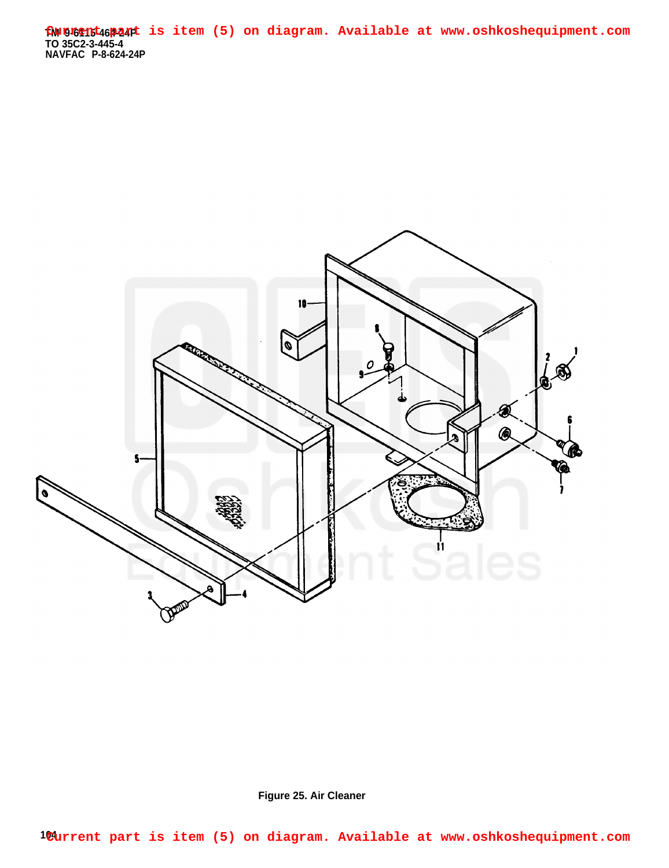**TM 9-6115-464-24P TO 35C2-3-445-4 NAVFAC P-8-624-24P Current part is item (5) on diagram. Available at www.oshkoshequipment.com**



**Figure 25. Air Cleaner**

**104 Current part is item (5) on diagram. Available at www.oshkoshequipment.com**